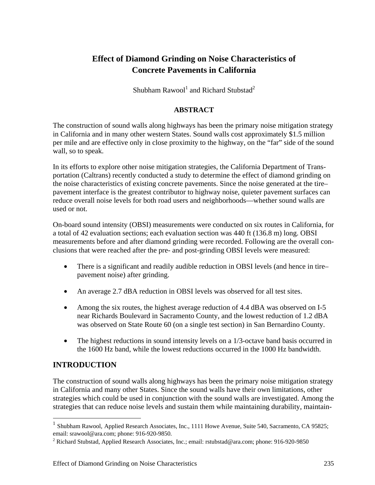# **Effect of Diamond Grinding on Noise Characteristics of Concrete Pavements in California**

Shubham Rawool $^1$  and Richard Stubstad<sup>2</sup>

### **ABSTRACT**

The construction of sound walls along highways has been the primary noise mitigation strategy in California and in many other western States. Sound walls cost approximately \$1.5 million per mile and are effective only in close proximity to the highway, on the "far" side of the sound wall, so to speak.

In its efforts to explore other noise mitigation strategies, the California Department of Transportation (Caltrans) recently conducted a study to determine the effect of diamond grinding on the noise characteristics of existing concrete pavements. Since the noise generated at the tire– pavement interface is the greatest contributor to highway noise, quieter pavement surfaces can reduce overall noise levels for both road users and neighborhoods—whether sound walls are used or not.

On-board sound intensity (OBSI) measurements were conducted on six routes in California, for a total of 42 evaluation sections; each evaluation section was 440 ft (136.8 m) long. OBSI measurements before and after diamond grinding were recorded. Following are the overall conclusions that were reached after the pre- and post-grinding OBSI levels were measured:

- There is a significant and readily audible reduction in OBSI levels (and hence in tire– pavement noise) after grinding.
- An average 2.7 dBA reduction in OBSI levels was observed for all test sites.
- Among the six routes, the highest average reduction of 4.4 dBA was observed on I-5 near Richards Boulevard in Sacramento County, and the lowest reduction of 1.2 dBA was observed on State Route 60 (on a single test section) in San Bernardino County.
- The highest reductions in sound intensity levels on a 1/3-octave band basis occurred in the 1600 Hz band, while the lowest reductions occurred in the 1000 Hz bandwidth.

## **INTRODUCTION**

 $\overline{a}$ 

The construction of sound walls along highways has been the primary noise mitigation strategy in California and many other States. Since the sound walls have their own limitations, other strategies which could be used in conjunction with the sound walls are investigated. Among the strategies that can reduce noise levels and sustain them while maintaining durability, maintain-

<sup>1</sup> Shubham Rawool, Applied Research Associates, Inc., 1111 Howe Avenue, Suite 540, Sacramento, CA 95825; email: srawool@ara.com; phone: 916-920-9850.

<sup>&</sup>lt;sup>2</sup> Richard Stubstad, Applied Research Associates, Inc.; email: rstubstad@ara.com; phone: 916-920-9850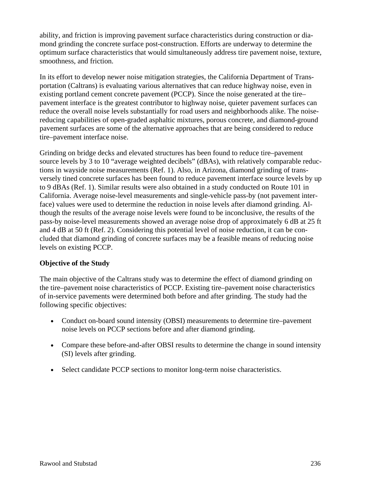ability, and friction is improving pavement surface characteristics during construction or diamond grinding the concrete surface post-construction. Efforts are underway to determine the optimum surface characteristics that would simultaneously address tire pavement noise, texture, smoothness, and friction.

In its effort to develop newer noise mitigation strategies, the California Department of Transportation (Caltrans) is evaluating various alternatives that can reduce highway noise, even in existing portland cement concrete pavement (PCCP). Since the noise generated at the tire– pavement interface is the greatest contributor to highway noise, quieter pavement surfaces can reduce the overall noise levels substantially for road users and neighborhoods alike. The noisereducing capabilities of open-graded asphaltic mixtures, porous concrete, and diamond-ground pavement surfaces are some of the alternative approaches that are being considered to reduce tire–pavement interface noise.

Grinding on bridge decks and elevated structures has been found to reduce tire–pavement source levels by 3 to 10 "average weighted decibels" (dBAs), with relatively comparable reductions in wayside noise measurements (Ref. 1). Also, in Arizona, diamond grinding of transversely tined concrete surfaces has been found to reduce pavement interface source levels by up to 9 dBAs (Ref. 1). Similar results were also obtained in a study conducted on Route 101 in California. Average noise-level measurements and single-vehicle pass-by (not pavement interface) values were used to determine the reduction in noise levels after diamond grinding. Although the results of the average noise levels were found to be inconclusive, the results of the pass-by noise-level measurements showed an average noise drop of approximately 6 dB at 25 ft and 4 dB at 50 ft (Ref. 2). Considering this potential level of noise reduction, it can be concluded that diamond grinding of concrete surfaces may be a feasible means of reducing noise levels on existing PCCP.

### **Objective of the Study**

The main objective of the Caltrans study was to determine the effect of diamond grinding on the tire–pavement noise characteristics of PCCP. Existing tire–pavement noise characteristics of in-service pavements were determined both before and after grinding. The study had the following specific objectives:

- Conduct on-board sound intensity (OBSI) measurements to determine tire–pavement noise levels on PCCP sections before and after diamond grinding.
- Compare these before-and-after OBSI results to determine the change in sound intensity (SI) levels after grinding.
- Select candidate PCCP sections to monitor long-term noise characteristics.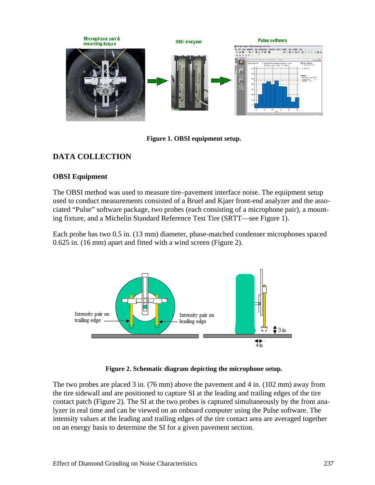

**Figure 1. OBSI equipment setup.** 

## **DATA COLLECTION**

### **OBSI Equipment**

The OBSI method was used to measure tire–pavement interface noise. The equipment setup used to conduct measurements consisted of a Bruel and Kjaer front-end analyzer and the associated "Pulse" software package, two probes (each consisting of a microphone pair), a mounting fixture, and a Michelin Standard Reference Test Tire (SRTT—see Figure 1).

Each probe has two 0.5 in. (13 mm) diameter, phase-matched condenser microphones spaced 0.625 in. (16 mm) apart and fitted with a wind screen (Figure 2).



**Figure 2. Schematic diagram depicting the microphone setup.** 

The two probes are placed 3 in. (76 mm) above the pavement and 4 in. (102 mm) away from the tire sidewall and are positioned to capture SI at the leading and trailing edges of the tire contact patch (Figure 2). The SI at the two probes is captured simultaneously by the front analyzer in real time and can be viewed on an onboard computer using the Pulse software. The intensity values at the leading and trailing edges of the tire contact area are averaged together on an energy basis to determine the SI for a given pavement section.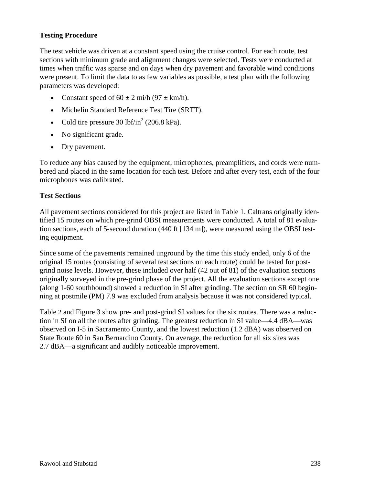### **Testing Procedure**

The test vehicle was driven at a constant speed using the cruise control. For each route, test sections with minimum grade and alignment changes were selected. Tests were conducted at times when traffic was sparse and on days when dry pavement and favorable wind conditions were present. To limit the data to as few variables as possible, a test plan with the following parameters was developed:

- Constant speed of  $60 \pm 2$  mi/h  $(97 \pm km/h)$ .
- Michelin Standard Reference Test Tire (SRTT).
- Cold tire pressure  $30$  lbf/in<sup>2</sup> (206.8 kPa).
- No significant grade.
- Dry pavement.

To reduce any bias caused by the equipment; microphones, preamplifiers, and cords were numbered and placed in the same location for each test. Before and after every test, each of the four microphones was calibrated.

### **Test Sections**

All pavement sections considered for this project are listed in Table 1. Caltrans originally identified 15 routes on which pre-grind OBSI measurements were conducted. A total of 81 evaluation sections, each of 5-second duration (440 ft [134 m]), were measured using the OBSI testing equipment.

Since some of the pavements remained unground by the time this study ended, only 6 of the original 15 routes (consisting of several test sections on each route) could be tested for postgrind noise levels. However, these included over half (42 out of 81) of the evaluation sections originally surveyed in the pre-grind phase of the project. All the evaluation sections except one (along 1-60 southbound) showed a reduction in SI after grinding. The section on SR 60 beginning at postmile (PM) 7.9 was excluded from analysis because it was not considered typical.

Table 2 and Figure 3 show pre- and post-grind SI values for the six routes. There was a reduction in SI on all the routes after grinding. The greatest reduction in SI value—4.4 dBA—was observed on I-5 in Sacramento County, and the lowest reduction (1.2 dBA) was observed on State Route 60 in San Bernardino County. On average, the reduction for all six sites was 2.7 dBA—a significant and audibly noticeable improvement.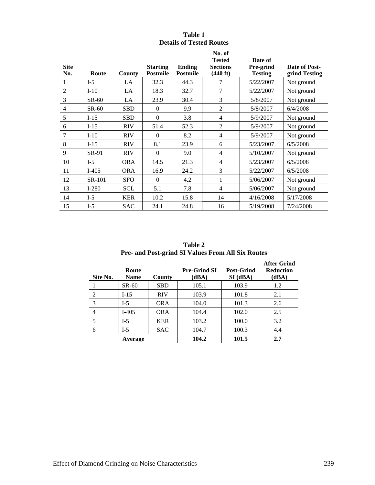| Table 1                         |  |
|---------------------------------|--|
| <b>Details of Tested Routes</b> |  |

| <b>Site</b><br>No. | Route   | County     | <b>Starting</b><br><b>Postmile</b> | <b>Ending</b><br>Postmile | No. of<br><b>Tested</b><br><b>Sections</b><br>(440 ft) | Date of<br>Pre-grind<br><b>Testing</b> | Date of Post-<br>grind Testing |
|--------------------|---------|------------|------------------------------------|---------------------------|--------------------------------------------------------|----------------------------------------|--------------------------------|
|                    | $I-5$   | LA         | 32.3                               | 44.3                      | 7                                                      | 5/22/2007                              | Not ground                     |
| 2                  | $I-10$  | LA         | 18.3                               | 32.7                      | 7                                                      | 5/22/2007                              | Not ground                     |
| 3                  | $SR-60$ | LA         | 23.9                               | 30.4                      | 3                                                      | 5/8/2007                               | Not ground                     |
| $\overline{4}$     | $SR-60$ | <b>SBD</b> | $\theta$                           | 9.9                       | 2                                                      | 5/8/2007                               | 6/4/2008                       |
| 5                  | $I-15$  | <b>SBD</b> | $\Omega$                           | 3.8                       | 4                                                      | 5/9/2007                               | Not ground                     |
| 6                  | $I-15$  | <b>RIV</b> | 51.4                               | 52.3                      | $\overline{2}$                                         | 5/9/2007                               | Not ground                     |
| $\overline{7}$     | $I-10$  | <b>RIV</b> | $\theta$                           | 8.2                       | $\overline{4}$                                         | 5/9/2007                               | Not ground                     |
| 8                  | $I-15$  | <b>RIV</b> | 8.1                                | 23.9                      | 6                                                      | 5/23/2007                              | 6/5/2008                       |
| 9                  | SR-91   | <b>RIV</b> | $\Omega$                           | 9.0                       | $\overline{4}$                                         | 5/10/2007                              | Not ground                     |
| 10                 | $I-5$   | <b>ORA</b> | 14.5                               | 21.3                      | $\overline{4}$                                         | 5/23/2007                              | 6/5/2008                       |
| 11                 | $I-405$ | <b>ORA</b> | 16.9                               | 24.2                      | 3                                                      | 5/22/2007                              | 6/5/2008                       |
| 12                 | SR-101  | <b>SFO</b> | $\Omega$                           | 4.2                       | 1                                                      | 5/06/2007                              | Not ground                     |
| 13                 | $I-280$ | <b>SCL</b> | 5.1                                | 7.8                       | 4                                                      | 5/06/2007                              | Not ground                     |
| 14                 | $I-5$   | <b>KER</b> | 10.2                               | 15.8                      | 14                                                     | 4/16/2008                              | 5/17/2008                      |
| 15                 | $I-5$   | <b>SAC</b> | 24.1                               | 24.8                      | 16                                                     | 5/19/2008                              | 7/24/2008                      |

**Table 2 Pre- and Post-grind SI Values From All Six Routes**

| Site No. | Route<br><b>Name</b> | County     | <b>Pre-Grind SI</b><br>(dBA) | <b>Post-Grind</b><br>$SI$ (dBA) | <b>After Grind</b><br><b>Reduction</b><br>(dBA) |
|----------|----------------------|------------|------------------------------|---------------------------------|-------------------------------------------------|
|          | $SR-60$              | <b>SBD</b> | 105.1                        | 103.9                           | 1.2                                             |
| 2        | $I-15$               | <b>RIV</b> | 103.9                        | 101.8                           | 2.1                                             |
| 3        | $I-5$                | <b>ORA</b> | 104.0                        | 101.3                           | 2.6                                             |
| 4        | $I-405$              | <b>ORA</b> | 104.4                        | 102.0                           | 2.5                                             |
|          | $I-5$                | <b>KER</b> | 103.2                        | 100.0                           | 3.2                                             |
| 6        | $I-5$                | <b>SAC</b> | 104.7                        | 100.3                           | 4.4                                             |
|          | Average              |            | 104.2                        | 101.5                           | 2.7                                             |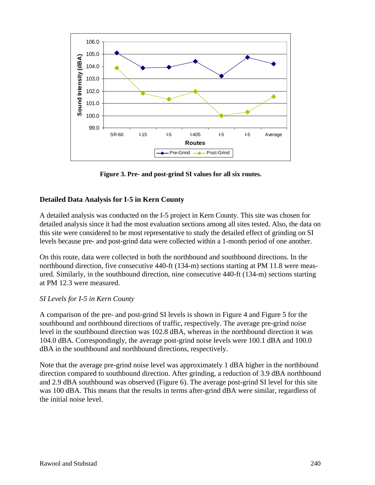

**Figure 3. Pre- and post-grind SI values for all six routes.**

### **Detailed Data Analysis for I-5 in Kern County**

A detailed analysis was conducted on the I-5 project in Kern County. This site was chosen for detailed analysis since it had the most evaluation sections among all sites tested. Also, the data on this site were considered to be most representative to study the detailed effect of grinding on SI levels because pre- and post-grind data were collected within a 1-month period of one another.

On this route, data were collected in both the northbound and southbound directions. In the northbound direction, five consecutive 440-ft (134-m) sections starting at PM 11.8 were measured. Similarly, in the southbound direction, nine consecutive 440-ft (134-m) sections starting at PM 12.3 were measured.

### *SI Levels for I-5 in Kern County*

A comparison of the pre- and post-grind SI levels is shown in Figure 4 and Figure 5 for the southbound and northbound directions of traffic, respectively. The average pre-grind noise level in the southbound direction was 102.8 dBA, whereas in the northbound direction it was 104.0 dBA. Correspondingly, the average post-grind noise levels were 100.1 dBA and 100.0 dBA in the southbound and northbound directions, respectively.

Note that the average pre-grind noise level was approximately 1 dBA higher in the northbound direction compared to southbound direction. After grinding, a reduction of 3.9 dBA northbound and 2.9 dBA southbound was observed (Figure 6). The average post-grind SI level for this site was 100 dBA. This means that the results in terms after-grind dBA were similar, regardless of the initial noise level.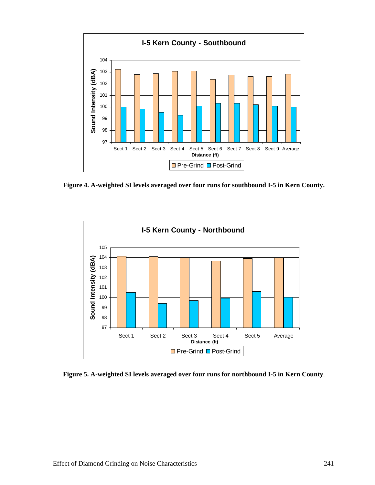

**Figure 4. A-weighted SI levels averaged over four runs for southbound I-5 in Kern County.** 



**Figure 5. A-weighted SI levels averaged over four runs for northbound I-5 in Kern County**.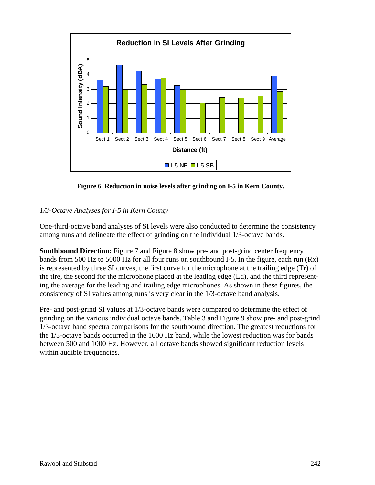

**Figure 6. Reduction in noise levels after grinding on I-5 in Kern County.** 

### *1/3-Octave Analyses for I-5 in Kern County*

One-third-octave band analyses of SI levels were also conducted to determine the consistency among runs and delineate the effect of grinding on the individual 1/3-octave bands.

**Southbound Direction:** Figure 7 and Figure 8 show pre- and post-grind center frequency bands from 500 Hz to 5000 Hz for all four runs on southbound I-5. In the figure, each run  $(Rx)$ is represented by three SI curves, the first curve for the microphone at the trailing edge (Tr) of the tire, the second for the microphone placed at the leading edge (Ld), and the third representing the average for the leading and trailing edge microphones. As shown in these figures, the consistency of SI values among runs is very clear in the 1/3-octave band analysis.

Pre- and post-grind SI values at 1/3-octave bands were compared to determine the effect of grinding on the various individual octave bands. Table 3 and Figure 9 show pre- and post-grind 1/3-octave band spectra comparisons for the southbound direction. The greatest reductions for the 1/3-octave bands occurred in the 1600 Hz band, while the lowest reduction was for bands between 500 and 1000 Hz. However, all octave bands showed significant reduction levels within audible frequencies.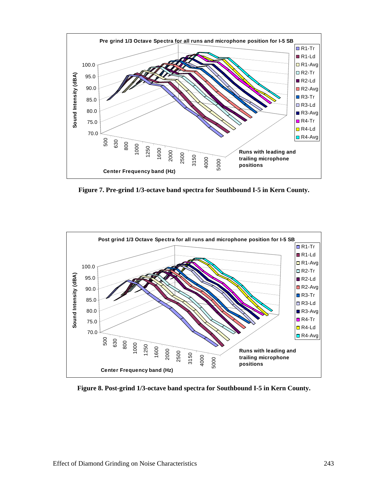

**Figure 7. Pre-grind 1/3-octave band spectra for Southbound I-5 in Kern County.** 

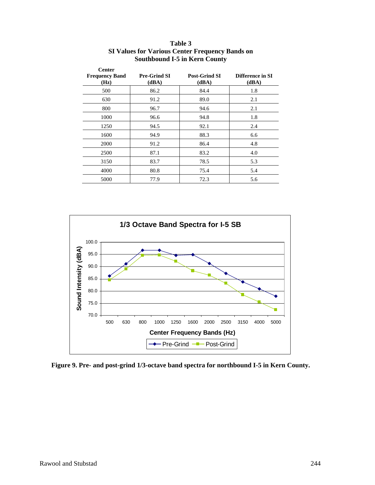| <b>Center</b><br><b>Frequency Band</b><br>(Hz) | <b>Pre-Grind SI</b><br>(dBA) | <b>Post-Grind SI</b><br>(dBA) | Difference in SI<br>(dBA) |
|------------------------------------------------|------------------------------|-------------------------------|---------------------------|
| 500                                            | 86.2                         | 84.4                          | 1.8                       |
| 630                                            | 91.2                         | 89.0                          | 2.1                       |
| 800                                            | 96.7                         | 94.6                          | 2.1                       |
| 1000                                           | 96.6                         | 94.8                          | 1.8                       |
| 1250                                           | 94.5                         | 92.1                          | 2.4                       |
| 1600                                           | 94.9                         | 88.3                          | 6.6                       |
| 2000                                           | 91.2                         | 86.4                          | 4.8                       |
| 2500                                           | 87.1                         | 83.2                          | 4.0                       |
| 3150                                           | 83.7                         | 78.5                          | 5.3                       |
| 4000                                           | 80.8                         | 75.4                          | 5.4                       |
| 5000                                           | 77.9                         | 72.3                          | 5.6                       |

#### **Table 3 SI Values for Various Center Frequency Bands on Southbound I-5 in Kern County**



**Figure 9. Pre- and post-grind 1/3-octave band spectra for northbound I-5 in Kern County.**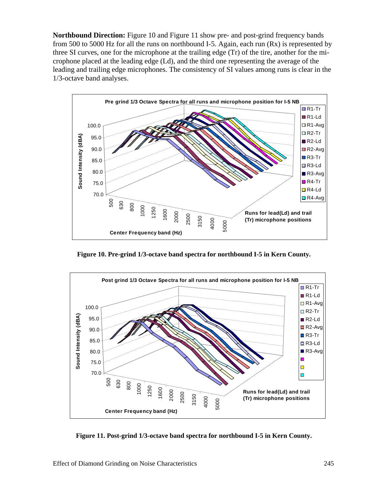**Northbound Direction:** Figure 10 and Figure 11 show pre- and post-grind frequency bands from 500 to 5000 Hz for all the runs on northbound I-5. Again, each run  $(Rx)$  is represented by three SI curves, one for the microphone at the trailing edge (Tr) of the tire, another for the microphone placed at the leading edge (Ld), and the third one representing the average of the leading and trailing edge microphones. The consistency of SI values among runs is clear in the 1/3-octave band analyses.



**Figure 10. Pre-grind 1/3-octave band spectra for northbound I-5 in Kern County.** 

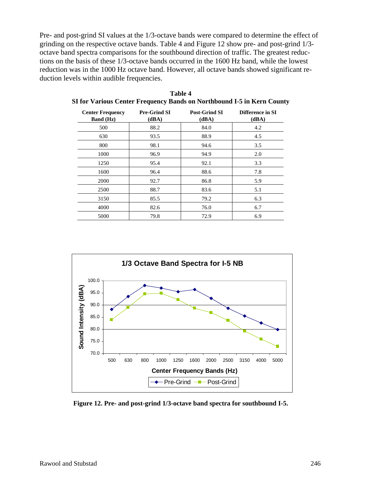Pre- and post-grind SI values at the 1/3-octave bands were compared to determine the effect of grinding on the respective octave bands. Table 4 and Figure 12 show pre- and post-grind 1/3 octave band spectra comparisons for the southbound direction of traffic. The greatest reductions on the basis of these 1/3-octave bands occurred in the 1600 Hz band, while the lowest reduction was in the 1000 Hz octave band. However, all octave bands showed significant reduction levels within audible frequencies.

| <b>Center Frequency</b><br><b>Band</b> (Hz) | <b>Pre-Grind SI</b><br>(dBA) | <b>Post-Grind SI</b><br>(dBA) | Difference in SI<br>(dBA) |
|---------------------------------------------|------------------------------|-------------------------------|---------------------------|
| 500                                         | 88.2                         | 84.0                          | 4.2                       |
| 630                                         | 93.5                         | 88.9                          | 4.5                       |
| 800                                         | 98.1                         | 94.6                          | 3.5                       |
| 1000                                        | 96.9                         | 94.9                          | 2.0                       |
| 1250                                        | 95.4                         | 92.1                          | 3.3                       |
| 1600                                        | 96.4                         | 88.6                          | 7.8                       |
| 2000                                        | 92.7                         | 86.8                          | 5.9                       |
| 2500                                        | 88.7                         | 83.6                          | 5.1                       |
| 3150                                        | 85.5                         | 79.2                          | 6.3                       |
| 4000                                        | 82.6                         | 76.0                          | 6.7                       |
| 5000                                        | 79.8                         | 72.9                          | 6.9                       |

| Table 4                                                                |  |
|------------------------------------------------------------------------|--|
| SI for Various Center Frequency Bands on Northbound I-5 in Kern County |  |



**Figure 12. Pre- and post-grind 1/3-octave band spectra for southbound I-5.**